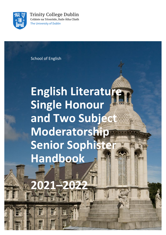

**Trinity College Dublin** Coláiste na Tríonóide, Baile Átha Cliath The University of Dublin

School of English

# **English Literature Single Honour and Two Subject Moderatorship Senior Sophister Handbook**

**2021–2022**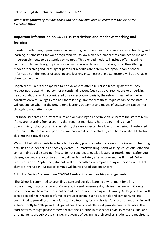# *Alternative formats of this handbook can be made available on request to the Sophister Executive Office.*

# **Important information on COVID-19 restrictions and modes of teaching and learning**

In order to offer taught programmes in line with government health and safety advice, teaching and learning in Semester 1 for your programme will follow a blended model that combines online and in-person elements to be attended on campus. This blended model will include offering online lectures for larger class groupings, as well as in-person classes for smaller groups: the differing modes of teaching and learning for particular modules are determined by your home School. Information on the modes of teaching and learning in Semester 1 and Semester 2 will be available closer to the time.

Registered students are expected to be available to attend in-person teaching activities. Any request not to attend in person for exceptional reasons (such as travel restrictions or underlying health conditions) will be considered on a case-by-case basis by the relevant Head of School in consultation with College Heath and there is no guarantee that these requests can be facilitate. It will depend on whether the programme learning outcomes and modes of assessment can be met through remote attendance.

For those students not currently in Ireland or planning to undertake travel before the start of term, if they are returning from a country that requires mandatory hotel quarantining or selfquarantining/isolating on arrival in Ireland, they are expected to allow for the period of resturcted movement after arrival and prior to commencement of their studies, and therefore should afactor this into their travel plans.

We would ask all students to adhere to the safety protocols when on campus for in-person teaching activities or student club and society events, i.e., mask wearing, hand washing, cough etiquette and to maintain social distancing. Please do not congregate outside lecture or tutorial rooms after your classes; we would ask you to exit the building immediately after your event has finished. When term starts on 13 September, students will be permitted on campus for any in-person events that they are involved in. Access to campus will be via a valid student ID card.

# **School of English Statement on COVID-19 restrictions and teaching arrangements**

The School is committed to providing a safe and positive learning environment for all its programmes, in accordance with College policy and government guidelines. In line with College policy, there will be a mixture of online and face-to-face teaching and learning. All large lectures will take place online; in respect of smaller group teaching, such as tutorials and seminars, we are committed to providing as much face-to-face teaching for all cohorts. Any face-to-face teaching will adhere strictly to College and HSE guidelines. The School office will provide precise details at the start of term, though please remember that the situation in respect of Covid-19 remains fluid, and arrangements are subject to change. In advance of beginning their studies, students are required to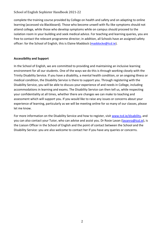complete the training course provided by College on health and safety and on adapting to online learning (accessed via Blackboard). Those who become unwell with flu-like symptoms should not attend college, while those who develop symptoms while on campus should proceed to the isolation room in your building and seek medical advice. For teaching and learning queries, you are free to contact the relevant programme director; in addition, all Schools have an assigned safety officer: for the School of English, this is Elaine Maddock [\(maddocke@tcd.ie\)](mailto:maddocke@tcd.ie).

# **Accessibility and Support**

In the School of English, we are committed to providing and maintaining an inclusive learning environment for all our students. One of the ways we do this is through working closely with the Trinity Disability Service. If you have a disability, a mental health condition, or an ongoing illness or medical condition, the Disability Service is there to support you. Through registering with the Disability Service, you will be able to discuss your experience of and needs in College, including accommodations in learning and exams. The Disability Service can then tell us, while respecting your confidentiality at all times, whether there are changes we can make to teaching and assessment which will support you. If you would like to raise any issues or concerns about your experience of learning, particularly as we will be meeting online for so many of our classes, please let me know.

For more information on the Disability Service and how to register, visit [www.tcd.ie/disability,](http://www.tcd.ie/disability) and you can also contact your Tutor, who can advise and assist you. Dr Rosie Lavan [\(lavanro@tcd.ie\)](mailto:lavanro@tcd.ie), is the Liaison Officer in the School of English and the point of contact between the School and the Disability Service: you are also welcome to contact her if you have any queries or concerns.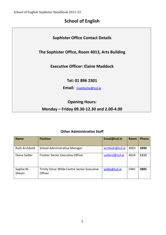# **School of English**

# **Sophister Office Contact Details**

# **The Sophister Office, Room 4013, Arts Building**

# **Executive Officer: Elaine Maddock**

**Tel: 01 896 2301**

**Email:** [maddocke@tcd.ie](mailto:mailto:engsoadm@tcd.ie)

# **Opening Hours:**

# **Monday – Friday 09.30-12.30 and 2.00-4.00**

# **Other Administrative Staff**

| <b>Name</b>          | <b>Position</b>                                                      | Email@tcd.ie    | <b>Room</b> | Phone |
|----------------------|----------------------------------------------------------------------|-----------------|-------------|-------|
| <b>Ruth Archbold</b> | School Administrative Manager                                        | archbolr@tcd.ie | 4003        | 2890  |
| Diane Sadler         | Fresher Senior Executive Officer                                     | sadlerd@tcd.ie  | 4024        | 1111  |
| Sophia Ní<br>Sheoin  | <b>Trinity Oscar Wilde Centre Senior Executive</b><br><b>Officer</b> | wilde@tcd.ie    | <b>OWC</b>  | 2885  |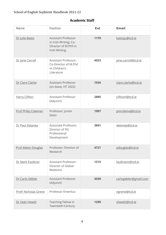# **Academic Staff**

| Name                        | Position                                                                                      | <b>Ext</b> | <b>Email</b>          |
|-----------------------------|-----------------------------------------------------------------------------------------------|------------|-----------------------|
| Dr Julie Bates              | <b>Assistant Professor</b><br>in Irish Writing; Co-<br>Director of M.Phil in<br>Irish Writing | 1179       | batesju@tcd.ie        |
| Dr Jane Carroll             | Assistant Professor;<br>Co-Director of M.Phil<br>in Children's<br>Literature                  | 4023       | jane.carroll@tcd.ie   |
| Dr Clare Clarke             | <b>Assistant Professor</b><br>(on leave, HT 2022)                                             | 1934       | clare.clarke@tcd.ie   |
| <b>Harry Clifton</b>        | <b>Assistant Professor</b><br>(Adjunct)                                                       | 2885       | cliftonh@tcd.ie       |
| Prof Philip Coleman         | Professor; Junior<br>Dean                                                                     | 1907       | pmcolema@tcd.ie       |
| Dr Paul Delaney             | Associate Professor;<br>Director of PG<br>Professional<br>Development                         | 3841       | delanep@tcd.ie        |
| <b>Prof Aileen Douglas</b>  | Professor; Director of<br>Research                                                            | 4721       | adouglas@tcd.ie       |
| Dr Mark Faulkner            | Assistant Professor;<br>Director of Global<br>Relations                                       | 1515       | faulknem@tcd.ie       |
| Dr Carlo Gébler             | <b>Assistant Professor</b><br>(Adjunct)                                                       | 3039       | carlogebler@gmail.com |
| <b>Profr Nicholas Grene</b> | <b>Professor Emeritus</b>                                                                     |            | ngrene@tcd.ie         |
| Dr Seán Hewitt              | Teaching Fellow in<br>Twentieth-Century                                                       | 1299       | shewitt@tcd.ie        |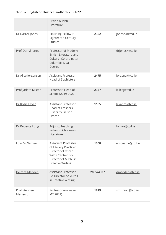|                                  | British & Irish<br>Literature                                                                                                              |           |                 |
|----------------------------------|--------------------------------------------------------------------------------------------------------------------------------------------|-----------|-----------------|
| Dr Darrell Jones                 | Teaching Fellow in<br>Eighteenth-Century<br><b>Studies</b>                                                                                 | 2322      | jonesd4@tcd.ie  |
| Prof Darryl Jones                | Professor of Modern<br><b>British Literature and</b><br>Culture; Co-ordinator<br>Columbia Dual<br>Degree                                   |           | drjones@tcd.ie  |
| Dr Alice Jorgensen               | Assistant Professor;<br>Head of Sophisters                                                                                                 | 2475      | jorgena@tcd.ie  |
| Prof Jarlath Killeen             | Professor; Head of<br>School (2019-2022)                                                                                                   | 2337      | killeej@tcd.ie  |
| Dr Rosie Lavan                   | Assistant Professor;<br>Head of Freshers;<br>Disability Liaison<br>Officer                                                                 | 1185      | lavanro@tcd.ie  |
| Dr Rebecca Long                  | <b>Adjunct Teaching</b><br>Fellow in Children's<br>Literature                                                                              |           | longre@tcd.ie   |
| Eoin McNamee                     | Associate Professor<br>of Literary Practice;<br>Director of Oscar<br>Wilde Centre; Co-<br>Director of M.Phil in<br><b>Creative Writing</b> | 1360      | emcname@tcd.ie  |
| Deirdre Madden                   | Assistant Professor;<br>Co-Director of M.Phil<br>in Creative Writing                                                                       | 2885/4397 | dmadden@tcd.ie  |
| <b>Prof Stephen</b><br>Matterson | Professor (on leave,<br>MT 2021)                                                                                                           | 1879      | smttrson@tcd.ie |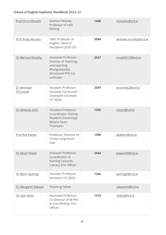| Prof Chris Morash       | Seamus Heaney<br>Professor of Irish<br>Writing                                                                     | 1400 | morashc@tcd.ie       |
|-------------------------|--------------------------------------------------------------------------------------------------------------------|------|----------------------|
| <b>Prof Andy Murphy</b> | 1867 Professor of<br>English; Head of<br>Discipline (2020-23)                                                      | 3984 | andrew.murphy@tcd.ie |
| Dr Bernice Murphy       | Associate Professor;<br>Director of Teaching<br>and Learning<br>(Postgraduate);<br>Structured PhD Co-<br>ordinator | 2547 | murphb12@tcd.ie      |
| Dr Brendan<br>O'Connell | Assistant Professor;<br>Inclusive Curriculum<br>Champion (on leave,<br>HT 2022)                                    | 2597 | oconneb2@tcd.ie      |
| Dr Melanie Otto         | Assistant Professor;<br><b>Co-ordinator Visiting</b><br>Students (Incoming);<br>Athena Swan<br>Champion            | 1355 | ottom@tcd.ie         |
| Prof Eve Patten         | Professor; Director of<br>Trinity Long Room<br>Hub                                                                 | 1299 | epatten@tcd.ie       |
| Dr Kevin Power          | Assistant Professor;<br>Co-ordinator of<br>Evening Lectures;<br>Literary Arts Officer                              | 2944 | powerk9@tcd.ie       |
| Dr Björn Quiring        | <b>Assistant Professor</b><br>(on leave, HT 2022)                                                                  | 1346 | quiringb@tcd.ie      |
| Dr Margaret Robson      | <b>Teaching Fellow</b>                                                                                             |      | robsonm@tcd.ie       |
| Dr Sam Slote            | Associate Professor;<br>Co-Director of M.Phil<br>in Irish Writing; Fire<br>Officer                                 | 1319 | slotes@tcd.ie        |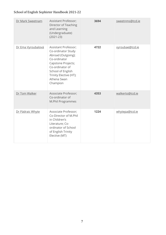| Dr Mark Sweetnam   | Assistant Professor;<br>Director of Teaching<br>and Learning<br>(Undergraduate)<br>$(2021 - 23)$                                                                                                    | 3694 | sweetnms@tcd.ie |
|--------------------|-----------------------------------------------------------------------------------------------------------------------------------------------------------------------------------------------------|------|-----------------|
| Dr Ema Vyroubalová | Assistant Professor;<br>Co-ordinator Study<br>Abroad (Outgoing);<br>Co-ordinator<br>Capstone Projects;<br>Co-ordinator of<br>School of English<br>Trinity Elective (HT);<br>Athena Swan<br>Champion | 4722 | vyroubae@tcd.ie |
| Dr Tom Walker      | Associate Professor;<br>Co-ordinator of<br>M.Phil Programmes                                                                                                                                        | 4353 | walkerto@tcd.ie |
| Dr Pádraic Whyte   | Associate Professor;<br>Co-Director of M.Phil<br>in Children's<br>Literature; Co-<br>ordinator of School<br>of English Trinity<br>Elective (MT)                                                     | 1224 | whytepa@tcd.ie  |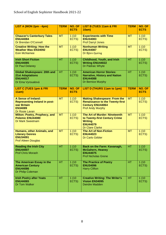| LIST A (MON 2pm - 4pm)                                                                                         | <b>TERM</b> | NO. OF<br><b>ECTS</b> | <b>LIST B (TUES 11am &amp; FRI</b><br><b>10am)</b>                                                                                   | <b>TERM</b> | NO. OF<br><b>ECTS</b> |
|----------------------------------------------------------------------------------------------------------------|-------------|-----------------------|--------------------------------------------------------------------------------------------------------------------------------------|-------------|-----------------------|
| <b>Chaucer's Canterbury Tales</b><br><b>ENU44084</b><br>Dr Brendan O'Connell                                   | <b>MT</b>   | 1(10)<br>ECTS)        | <b>Experiments with Time</b><br><b>ENU34083</b><br><b>Prof Darryl Jones</b>                                                          | <b>MT</b>   | 1(10)<br>ECTS)        |
| <b>Creative Writing: How the</b><br><b>Weather Was EN34092</b><br><b>Eoin McNamee</b>                          | <b>MT</b>   | 1(10)<br>ECTS)        | <b>Nonhuman Writing</b><br><b>ENU44087</b><br>Dr Björn Quiring                                                                       | <b>MT</b>   | 1(10)<br>ECTS)        |
| <b>Irish Short Fiction</b><br><b>ENU44085</b><br>Dr Paul Delaney                                               | <b>HT</b>   | 1(10)<br>ECTS)        | <b>Childhood, Youth, and Irish</b><br><b>Writing ENU44022</b><br>Dr Pádraic Whyte                                                    | <b>HT</b>   | 1(10)<br>ECTS)        |
| <b>Global Shakespeare: 20th and</b><br><b>21st Adaptations</b><br><b>ENU44017</b><br>Dr Ema Vyroualová         | <b>HT</b>   | 1(10)<br>ECTS)        | <b>American Horror Stories:</b><br><b>Narrative, History and Nation</b><br><b>ENU44088</b><br>Dr Bernice Murphy                      | <b>HT</b>   | 1(10)<br>ECTS)        |
| <b>LIST C (TUES 1pm &amp; FRI</b><br>11am)                                                                     | <b>TERM</b> | NO. OF<br><b>ECTS</b> | <b>LIST D (THURS 11am to 1pm)</b>                                                                                                    | <b>TERM</b> | NO. OF<br><b>ECTS</b> |
| A Sense of Ireland:<br><b>Representing Ireland in post-</b><br>war Britain<br><b>EN34089</b><br>Dr Rosie Lavan | <b>MT</b>   | 1(10)<br>ECTS)        | <b>Making Shakespeare: From the</b><br><b>Renaissance to the Twenty-first</b><br><b>Century ENU44064</b><br><b>Prof Andy Murphy</b>  | <b>MT</b>   | 1(10)<br>ECTS)        |
| Milton: Poetry, Prophecy, and<br><b>Polemic ENU44080</b><br><b>Dr Mark Sweetnam</b>                            | <b>MT</b>   | 1(10)<br>ECTS)        | <b>The Art of Murder: Nineteenth</b><br>to Twenty-first Century Crime<br><b>Writing</b><br><b>ENU44079</b><br><b>Dr Clare Clarke</b> | <b>MT</b>   | 1(10)<br>ECTS)        |
| Humans, other Animals, and<br><b>Literary Genres</b><br><b>ENU34091</b><br><b>Prof Aileen Douglas</b>          | <b>MT</b>   | 1(10)<br>ECTS)        | <b>The Art of Non-Fiction</b><br><b>ENU44023</b><br>Dr Carlo Gébler                                                                  | <b>MT</b>   | 1(10)<br>ECTS)        |
| <b>Reading the Irish City</b><br><b>ENU44007</b><br><b>Prof Chris Morash</b>                                   | <b>HT</b>   | 1(10)<br>ECTS)        | Back on the Farm: Kavanagh,<br><b>McGahern, Heaney</b><br><b>ENU44075</b><br><b>Prof Nicholas Grene</b>                              | <b>HT</b>   | 1(10)<br>ECTS)        |
| The American Essay in the<br><b>American Century</b><br><b>ENU44086</b><br>Dr Philip Coleman                   | HT.         | 1(10)<br>ECTS)        | <b>The Practice of Poetry</b><br><b>ENU34096</b><br><b>Harry Clifton</b>                                                             | HT.         | 1(10)<br>ECTS)        |
| <b>Irish Poetry after Yeats</b><br><b>ENU44065</b><br>Dr Tom Walker                                            | HT.         | 1(10)<br>ECTS)        | <b>Creative Writing: The Writer's</b><br><b>Vision EN34095</b><br>Deirdre Madden                                                     | HT.         | 1(10)<br>ECTS)        |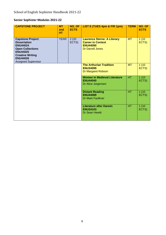# **Senior Sophister Modules 2021-22**

| <b>CAPSTONE PROJECT</b>                                                                                                                                                                      | <b>MT</b><br>and<br><b>HT</b> | NO. OF<br><b>ECTS</b> | LIST E (TUES 4pm & FRI 1pm)                                                                                  | <b>TERM</b> | NO. OF<br><b>ECTS</b> |
|----------------------------------------------------------------------------------------------------------------------------------------------------------------------------------------------|-------------------------------|-----------------------|--------------------------------------------------------------------------------------------------------------|-------------|-----------------------|
| <b>Capstone Project:</b><br><b>Dissertation</b><br><b>ENU44024</b><br><b>Open Collections</b><br><b>ENU44025</b><br><b>Creative Writing</b><br><b>ENU44026</b><br><b>Assigned Supervisor</b> | <b>YEAR</b>                   | 2(20)<br>ECTS)        | <b>Laurence Sterne: A Literary</b><br><b>Career in Context</b><br><b>ENU44090</b><br><b>Dr Darrell Jones</b> | <b>MT</b>   | 1(10)<br>ECTS)        |
|                                                                                                                                                                                              |                               |                       | <b>The Arthurian Tradition</b><br><b>ENU34099</b><br>Dr Margaret Robson                                      | <b>MT</b>   | 1(10)<br>ECTS)        |
|                                                                                                                                                                                              |                               |                       | <b>Women in Medieval Literature</b><br><b>ENU44040</b><br>Dr Alice Jorgensen                                 | HT.         | 1(10)<br>ECTS)        |
|                                                                                                                                                                                              |                               |                       | <b>Distant Reading</b><br><b>ENU44089</b><br><b>Dr Mark Faulkner</b>                                         | <b>HT</b>   | 1(10)<br>ECTS)        |
|                                                                                                                                                                                              |                               |                       | <b>Literature after Darwin</b><br><b>ENU34103</b><br><b>Dr Sean Hewitt</b>                                   | HT.         | 1(10)<br>ECTS)        |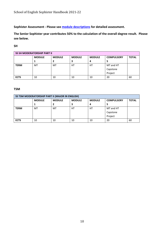**Sophister Assessment - Please see [module descriptions](https://www.tcd.ie/English/undergraduate/sophister/module-descriptions-2021-22.php) for detailed assessment.** 

**The Senior Sophister year contributes 50% to the calculation of the overall degree result. Please see below.** 

#### **SH**

|             | <b>SS SH MODERATORSHIP PART II</b> |               |               |               |                   |              |
|-------------|------------------------------------|---------------|---------------|---------------|-------------------|--------------|
|             | <b>MODULE</b>                      | <b>MODULE</b> | <b>MODULE</b> | <b>MODULE</b> | <b>COMPULSORY</b> | <b>TOTAL</b> |
|             |                                    |               | 3             | 4             |                   |              |
| <b>TERM</b> | МT                                 | MT            | HT            | HТ            | MT and HT         |              |
|             |                                    |               |               |               | Capstone          |              |
|             |                                    |               |               |               | Project           |              |
| <b>ECTS</b> | 10                                 | 10            | 10            | 10            | 20                | 60           |

#### **TSM**

|             | SS TSM MODERATORSHIP PART II (MAJOR IN ENGLISH) |               |               |               |                   |              |
|-------------|-------------------------------------------------|---------------|---------------|---------------|-------------------|--------------|
|             | <b>MODULE</b>                                   | <b>MODULE</b> | <b>MODULE</b> | <b>MODULE</b> | <b>COMPULSORY</b> | <b>TOTAL</b> |
|             |                                                 |               | 3             | 4             |                   |              |
| <b>TERM</b> | МT                                              | MT            | HТ            | HT            | MT and HT         |              |
|             |                                                 |               |               |               | Capstone          |              |
|             |                                                 |               |               |               | Project           |              |
| <b>ECTS</b> | 10                                              | 10            | 10            | 10            | 20                | 60           |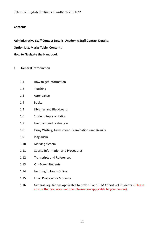# **Contents**

**Administrative Staff Contact Details, Academic Staff Contact Details,** 

**Option List, Marks Table, Contents** 

**How to Navigate the Handbook**

# **1. General Introduction**

- 1.1 How to get information
- 1.2 Teaching
- 1.3 Attendance
- 1.4 Books
- 1.5 Libraries and Blackboard
- 1.6 Student Representation
- 1.7 Feedback and Evaluation
- 1.8 Essay Writing, Assessment, Examinations and Results
- 1.9 Plagiarism
- 1.10 Marking System
- 1.11 Course Information and Procedures
- 1.12 Transcripts and References
- 1.13 Off-Books Students
- 1.14 Learning to Learn Online
- 1.15 Email Protocol for Students
- 1.16 General Regulations Applicable to both SH and TSM Cohorts of Students (Please ensure that you also read the information applicable to your course).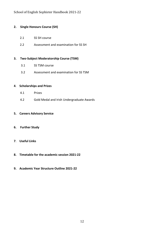#### **2. Single Honours Course (SH)**

- 2.1 SS SH course
- 2.2 Assessment and examination for SS SH

## **3. Two-Subject Moderatorship Course (TSM)**

- 3.1 SS TSM course
- 3.2 Assessment and examination for SS TSM

# **4**. **Scholarships and Prizes**

- 4.1 Prizes
- 4.2 Gold Medal and Irish Undergraduate Awards

#### **5. Careers Advisory Service**

## **6. Further Study**

- **7**. **Useful Links**
- **8. Timetable for the academic session 2021-22**
- **9. Academic Year Structure Outline 2021-22**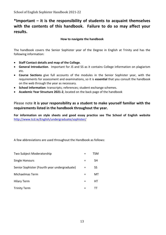# **\*Important – it is the responsibility of students to acquaint themselves with the contents of this handbook. Failure to do so may affect your results.**

## **How to navigate the handbook**

The handbook covers the Senior Sophister year of the Degree in English at Trinity and has the following information:

- **Staff Contact details and map of the College**.
- **General Introduction**. Important for JS and SS as it contains College information on plagiarism etc.
- **Course Sections** give full accounts of the modules in the Senior Sophister year, with the requirements for assessment and examinations, so it is **essential** that you consult the handbook on the web through the year as necessary.
- **School Information**: transcripts; references; student exchange schemes.
- **Academic Year Structure 2021-2**, located on the back page of the handbook

# Please note **it is your responsibility as a student to make yourself familiar with the requirements listed in the handbook throughout the year.**

**For information on style sheets and good essay practice see The School of English website** <http://www.tcd.ie/English/undergraduate/sophister/>

A few abbreviations are used throughout the Handbook as follows:

| Two Subject Moderatorship                    | TSM       |
|----------------------------------------------|-----------|
| Single Honours                               | SН        |
| Senior Sophister (Fourth year undergraduate) | <b>SS</b> |
| Michaelmas Term                              | мт        |
| <b>Hilary Term</b>                           | HТ        |
| <b>Trinity Term</b>                          |           |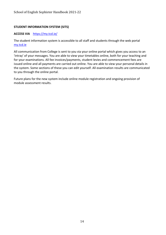# **STUDENT INFORMATION SYSTEM (SITS)**

#### **ACCESS VIA** <https://my.tcd.ie/>

The student information system is accessible to all staff and students through the web portal [my.tcd.ie](https://my.tcd.ie/)

All communication from College is sent to you via your online portal which gives you access to an 'intray' of your messages. You are able to view your timetables online, both for your teaching and for your examinations. All fee invoices/payments, student levies and commencement fees are issued online and all payments are carried out online. You are able to view your personal details in the system. Some sections of these you can edit yourself. All examination results are communicated to you through the online portal.

Future plans for the new system include online module registration and ongoing provision of module assessment results.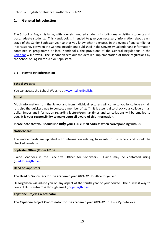# **1. General Introduction**

The School of English is large, with over six hundred students including many visiting students and postgraduate students. This Handbook is intended to give you necessary information about each stage of the Senior Sophister year so that you know what to expect. In the event of any conflict or inconsistency between the General Regulations published in the University Calendar and information contained in programme or local handbooks, the provisions of the General Regulations in the [Calendar](https://www.tcd.ie/calendar/) will prevail. The Handbook sets out the detailed implementation of those regulations by the School of English for Senior Sophisters.

#### **1.1 How to get information**

#### **School Website**

You can access the School Website at [www.tcd.ie/English.](http://www.tcd.ie/English)

#### **E-mail**

Much information from the School and from individual lecturers will come to you by college e-mail. It is also the quickest way to contact a member of staff. It is essential to check your college e-mail daily. Important information regarding lecture/seminar times and cancellations will be emailed to you. **It is your responsibility to make yourself aware of this information**.

**Please note that you should use only your TCD e-mail address when corresponding with us.** 

#### **Noticeboards**

The noticeboards are updated with information relating to events in the School and should be checked regularly.

#### **Sophister Office (Room 4013)**

Elaine Maddock is the Executive Officer for Sophisters. Elaine may be contacted using [\(maddocke@tcd.ie\)](mailto:mailto:engsoadm@tcd.ie).

#### **Head of Sophisters**

**The Head of Sophisters for the academic year 2021-22:** Dr Alice Jorgensen

Dr Jorgensen will advise you on any aspect of the fourth year of your course. The quickest way to contact Dr Sweetnam is through email [\(jorgena@tcd.ie](mailto:jorgena@tcd.ie)).

#### **Capstone Project Co-ordinator**

**The Capstone Project Co-ordinator for the academic year 2021-22:** Dr Ema Vyroubalová.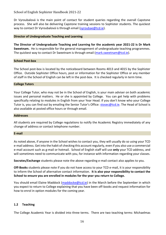Dr Vyroubalová is the main point of contact for student queries regarding the overall Capstone process. She will also be delivering Capstone training sessions to Sophister students. The quickest way to contact Dr Vyroubalová is through email [\(vyroubae@tcd.ie\)](mailto:vyroubae@tcd.ie).

#### **Director of Undergraduate Teaching and Learning**

**The Director of Undergraduate Teaching and Learning for the academic year 2021-22 is Dr Mark Sweetnam.** He is responsible for the general management of undergraduate teaching programmes. The quickest way to contact Dr Sweetnam is through email [\(mark.sweetnam@tcd.ie\)](mailto:mark.sweetnam@tcd.ie).

#### **School Post-box**

The School post-box is located by the noticeboard between Rooms 4013 and 4015 by the Sophister Office. Outside Sophister Office hours, post or information for the Sophister Office or any member of staff in the School of English can be left in the post-box. It is checked regularly in term time.

#### **College Tutors**

Your College Tutor, who may not be in the School of English, is your main adviser on both academic issues and personal matters. He or she is appointed by College. You can get help with problems specifically relating to modules in English from your Year Head. If you don't know who your College Tutor is, you can find out by emailing the Senior Tutor's Office: [stosec@tcd.ie.](mailto:stosec@tcd.ie) The Head of School is also available at posted office hours or through email.

#### **Addresses**

All students are required by College regulations to notify the Academic Registry immediately of any change of address or contact telephone number.

#### **E-mail**

As noted above, if anyone in the School wishes to contact you, they will usually do so using your TCD e-mail address. Get into the habit of checking this account regularly, even if you also use a commercial e-mail account such as g-mail or hotmail. School of English staff will use **only** your TCD address, and will sometimes need to communicate with you, for instance with information regarding your classes.

**Socrates/Exchange** students please note the above regarding e-mail contact also applies to you.

**Off-Books** students please note if you do not have access to your TCD e-mail, it is your responsibility to inform the School of alternative contact information. **It is also your responsibility to contact the School to ensure you are enrolled in modules for the year you return to College.**

You should email Elaine Maddock [\(maddocke@tcd.ie\)](mailto:maddocke@tcd.ie) in the March before the September in which you expect to return to College explaining that you have been off-books and request information for how to enrol in option modules for the coming year.

#### **1.2 Teaching**

The College Academic Year is divided into three terms. There are two teaching terms: Michaelmas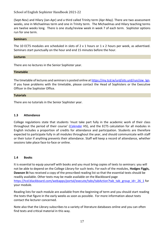(Sept-Nov) and Hilary (Jan-Apr) and a third called Trinity term (Apr-May). There are two assessment weeks, one in Michaelmas term and one in Trinity term. The Michaelmas and Hilary teaching terms are twelve weeks long. There is one study/review week in week 7 of each term. Sophister options run for one term.

#### **Seminars**

The 10 ECTS modules are scheduled in slots of 2 x 1 hours or 1 x 2 hours per week, as advertised. Seminars start punctually on the hour and end 15 minutes before the hour.

#### **Lectures**

There are no lectures in the Senior Sophister year.

#### **Timetable**

The timetable of lectures and seminars is posted online at [https://my.tcd.ie/urd/sits.urd/run/siw\\_lgn.](https://my.tcd.ie/urd/sits.urd/run/siw_lgn) If you have problems with the timetable, please contact the Head of Sophisters or the Executive Officer in the Sophister Office.

#### **Tutorials**

There are no tutorials in the Senior Sophister year.

#### **1.3 Attendance**

College regulations state that students 'must take part fully in the academic work of their class throughout the period of their course' (*[Calendar](https://www.tcd.ie/calendar/)* H5), and the ECTS calculation for all modules in English includes a proportion of credits for attendance and participation. Students are therefore expected to participate fully in all modules throughout the year, and should communicate with staff or their tutor if anything prevents their attendance. Staff will keep a record of attendance, whether sessions take place face-to-face or online.

#### **1.4 Books**

It is essential to equip yourself with books and you must bring copies of texts to seminars: you will not be able to depend on the College Library for such texts. For each of the modules, **Hodges Figgis, Dawson St** has received a copy of the prescribed reading list so that the essential texts should be readily available. Other texts may be made available on the Blackboard page [https://tcd.blackboard.com/webapps/portal/execute/tabs/tabAction?tab\\_tab\\_group\\_id=\\_26\\_1](https://tcd.blackboard.com/webapps/portal/execute/tabs/tabAction?tab_tab_group_id=_26_1) for your module.

Reading lists for each module are available from the beginning of term and you should start reading the texts that figure in the early weeks as soon as possible. For more information about texts contact the lecturer concerned.

Note also that the Library subscribes to a variety of literature databases online and you can often find texts and critical material in this way.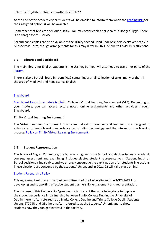At the end of the academic year students will be emailed to inform them when the [reading lists](https://www.tcd.ie/English/undergraduate/sophister/reading-lists-2019-20/index.php) for their assigned option(s) will be available.

Remember that texts can sell out quickly. You may order copies personally in Hodges Figgis. There is no charge for this service.

Second hand copies are also available at the Trinity Second Hand Book Sale held every year early in Michaelmas Term, though arrangements for this may differ in 2021-22 due to Covid-19 restrictions.

# **1.5 Libraries and Blackboard**

The main library for English students is the Ussher, but you will also need to use other parts of the [library.](http://www.tcd.ie/Library)

There is also a School library in room 4019 containing a small collection of texts, many of them in the area of Medieval and Renaissance English.

#### **[Blackboard](https://tcd.blackboard.com/webapps/login/)**

[Blackboard Learn \(mymodule.tcd.ie\)](http://mymodule.tcd.ie/) is College's Virtual Learning Environment (VLE). Depending on your module, you can access lecture notes, online assignments and other activities through Blackboard.

#### **Trinity Virtual Learning Environment**

The Virtual Learning Environment is an essential set of teaching and learning tools designed to enhance a student's learning experience by including technology and the internet in the learning process. Policy on [Trinity Virtual Learning Environment](https://www.tcd.ie/teaching-learning/assets/pdf/academicpolicies/VLE_Policy.pdf)

#### **1.6 Student Representation**

The School of English Committee, the body which governs the School, and decides issues of academic courses, assessment and examining, includes elected student representatives. Student input on School decisions is invaluable, and we strongly encourage the participation of all students in elections. These elections are convened by the Students' Union, and in 2021-22 will take place online.

#### [Student Partnership Policy](https://www.tcd.ie/teaching-learning/assets/pdf/academicpolicies/StudentPartnershipPolicy.pdf)

This Agreement reinforces the joint commitment of the University and the TCDSU/GSU to developing and supporting effective student partnership, engagement and representation.

The purpose of this Partnership Agreement is to present the work being done to improve the student experience in partnership between Trinity College Dublin, the University of Dublin (herein after referred to as Trinity College Dublin) and Trinity College Dublin Students Unions' (TCDSU and GSU hereinafter referred to as the Students' Union), and to show students how they can get involved in that activity.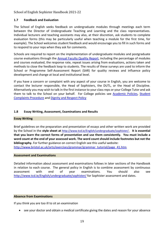# **1.7 Feedback and Evaluation**

The School of English seeks feedback on undergraduate modules through meetings each term between the Director of Undergraduate Teaching and Learning and the class representatives. Individual lecturers and teaching assistants may also, at their discretion, ask students to complete evaluation forms (this may be particularly useful when teaching a module for the first time, for example). The School welcomes student feedback and would encourage you to fill in such forms and to respond to your reps when they ask for comments.

Schools are required to report on the implementation of undergraduate modules and postgraduate course evaluations through the [Annual Faculty Quality Report,](https://www.tcd.ie/teaching-learning/quality/quality-enhancement/faculty.php) including the percentage of modules and courses evaluated, the response rate, repeat issues arising from evaluations, actions taken and methods to close the feedback loop to students. The results of these surveys are used to inform the School or Programme Self-Assessment Report (SAR) for quality reviews and influence policy development and change at local and institutional level.

If you have a concern or complaint with any aspect of your course in English, you are welcome to contact the lecturer responsible, the Head of Sophisters, the DUTL, or the Head of Discipline. Alternatively you may wish to talk in the first instance to your class reps or your College Tutor and ask them to talk to the School on your behalf. For College policies see [Academic Policies,](https://www.tcd.ie/teaching-learning/academic-policies/) [Student](https://www.tcd.ie/about/policies/Student%20Complaints%20Procedure.php)  [Complaints Procedure](https://www.tcd.ie/about/policies/Student%20Complaints%20Procedure.php) and [Dignity and Respect Policy](https://www.tcd.ie/equality/policy/dignity-respect-policy/)

# **1.8 Essay Writing, Assessment, Examinations and Results**

#### **Essay Writing**

Brief guidelines on the preparation and presentation of essays and other written work are provided by the School in the **style sheet at** [http://www.tcd.ie/English/undergraduate/sophister/.](http://www.tcd.ie/English/undergraduate/sophister/) **It is essential that you learn the correct forms of presentation and use them consistently. You must include a word count at the end of your assessed work. The word count should include footnotes but not the bibliography.** For further guidance on correct English see this useful website: [http://www.bristol.ac.uk/arts/exercises/grammar/grammar\\_tutorial/page\\_41.htm](http://www.bristol.ac.uk/arts/exercises/grammar/grammar_tutorial/page_41.htm)

#### **Assessment and Examinations**

Detailed information about assessment and examinations follows in later sections of the Handbook in relation to each course. The general policy in English is to combine assessment by continuous assessment with end of year examinations. You should also see <http://www.tcd.ie/English/undergraduate/sophister/> for Sophister assessment and dates.

#### **Absence from Examinations**

If you think you are too ill to sit an examination

• see your doctor and obtain a medical certificate giving the dates and reason for your absence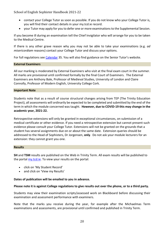- contact your College Tutor as soon as possible. If you do not know who your College Tutor is, you will find their contact details in your my.tcd.ie record.
- your Tutor may apply for you to defer one or more examinations to the Supplemental Session.

If you become ill during an examination tell the Chief Invigilator who will arrange for you to be taken to the Medical Centre.

If there is any other grave reason why you may not be able to take your examinations (e.g. *ad misericordiam* reasons) contact your College Tutor and discuss your options.

For full regulations see [Calendar](https://www.tcd.ie/calendar/) 35. You will also find guidance on the Senior Tutor's website.

#### **External Examiners**

All our marking is moderated by External Examiners who visit at the final exam court in the summer. All marks are provisional until confirmed formally by the final Court of Examiners. The External Examiners are Anthony Bale, Professor of Medieval Studies, University of London and Claire Connolly, Professor of Modern English, University College Cork.

#### **Important Note**

Students note that as a result of course structural changes arising from TEP (The Trinity Education Project), all assessments will ordinarily be expected to be completed and submitted by the end of the term in which the module concerned was taught. **However, due to COVID-19 this may change in the academic year, 2021-22.**

Retrospective extensions will only be granted in exceptional circumstances, on submission of a medical certificate or other evidence. If you need a retrospective extension but cannot present such evidence please consult your College Tutor. Extensions will not be granted on the grounds that a student has several assignments due on or about the same date. Extension queries should be addressed to the Head of Sophisters, Dr Jorgensen, **only**. Do not ask your module lecturers for an extension: they cannot grant you one.

#### **Results**

**SH** and **TSM** results are published on the Web in Trinity Term. All exam results will be published to the portal **my.tcd.ie**. To view your results on the portal:

- click on 'My Student Record'
- and click on 'View my Results'

#### **Dates of publication will be emailed to you in advance.**

#### **Please note it is against College regulations to give results out over the phone, or to a third party.**

Students may view their examination scripts/assessed work on Blackboard before discussing their examination and assessment performance with examiners.

Note that the marks you receive during the year, for example after the Michaelmas Term examinations and assessments, are provisional until confirmed and published in Trinity Term.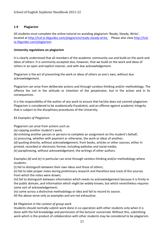# **1.9 Plagiarism**

All students must complete the online tutorial on avoiding plagiarism 'Ready, Steady, Write', located at [http://tcd-ie.libguides.com/plagiarism/ready-steady-write.](http://tcd-ie.libguides.com/plagiarism/ready-steady-write) Please also view [http://tcd](http://tcd-ie.libguides.com/plagiarism)[ie.libguides.com/plagiarism.](http://tcd-ie.libguides.com/plagiarism)

## **University regulations on plagiarism**

It is clearly understood that all members of the academic community use and build on the work and ideas of others. It is commonly accepted also, however, that we build on the work and ideas of others in an open and explicit manner, and with due acknowledgement.

Plagiarism is the act of presenting the work or ideas of others as one's own, without due acknowledgement.

Plagiarism can arise from deliberate actions and through careless thinking and/or methodology. The offence lies not in the attitude or intention of the perpetrator, but in the action and in its consequences.

It is the responsibility of the author of any work to ensure that he/she does not commit plagiarism. Plagiarism is considered to be academically fraudulent, and an offence against academic integrity that is subject to the disciplinary procedures of the University.

## 83 *Examples of Plagiarism*

Plagiarism can arise from actions such as:

- *(a)* copying another student's work;
- *(b)* enlisting another person or persons to complete an assignment on the student's behalf;
- *(c)* procuring, whether with payment or otherwise, the work or ideas of another;

*(d)* quoting directly, without acknowledgement, from books, articles or other sources, either in

printed, recorded or electronic format, including websites and social media;

*(e)* paraphrasing, without acknowledgement, the writings of other authors.

Examples *(d)* and *(e)* in particular can arise through careless thinking and/or methodology where students:

(i) fail to distinguish between their own ideas and those of others;

(ii) fail to take proper notes during preliminary research and therefore lose track of the sources from which the notes were drawn;

(iii) fail to distinguish between information which needs no acknowledgement because it is firmly in the public domain, and information which might be widely known, but which nevertheless requires some sort of acknowledgement;

(iv) come across a distinctive methodology or idea and fail to record its source.

All the above serve only as examples and are not exhaustive.

# 84 *Plagiarism in the context of group work*

Students should normally submit work done in co-operation with other students only when it is done with the full knowledge and permission of the lecturer concerned. Without this, submitting work which is the product of collaboration with other students may be considered to be plagiarism.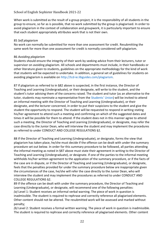When work is submitted as the result of a group project, it is the responsibility of all students in the group to ensure, so far as is possible, that no work submitted by the group is plagiarised. In order to avoid plagiarism in the context of collaboration and groupwork, it is particularly important to ensure that each student appropriately attributes work that is not their own.

#### 85 *Self plagiarism*

No work can normally be submitted for more than one assessment for credit. Resubmitting the same work for more than one assessment for credit is normally considered self-plagiarism.

#### 86 *Avoiding plagiarism*

Students should ensure the integrity of their work by seeking advice from their lecturers, tutor or supervisor on avoiding plagiarism. All schools and departments must include, in their handbooks or other literature given to students, guidelines on the appropriate methodology for the kind of work that students will be expected to undertake. In addition, a general set of guidelines for students on avoiding plagiarism is available on http://tcd-ie.libguides.com/plagiarism.

87 If plagiarism as referred to in §82 above is suspected, in the first instance, the Director of Teaching and Learning (Undergraduate), or their designate, will write to the student, and the student's tutor advising them of the concerns raised. The student and tutor (as an alternative to the tutor, students may nominate a representative from the Students' Union) will be invited to attend an informal meeting with the Director of Teaching and Learning (Undergraduate), or their designate, and the lecturer concerned, in order to put their suspicions to the student and give the student the opportunity to respond. The student will be requested to respond in writing stating his/her agreement to attend such a meeting and confirming on which of the suggested dates and times it will be possible for them to attend. If the student does not in this manner agree to attend such a meeting, the Director of Teaching and Learning (Undergraduate), or designate, may refer the case directly to the Junior Dean, who will interview the student and may implement the procedures as referred to under CONDUCT AND COLLEGE REGULATIONS §2.

88 If the Director of Teaching and Learning (Undergraduate), or designate, forms the view that plagiarism has taken place, he/she must decide if the offence can be dealt with under the summary procedure set out below. In order for this summary procedure to be followed, all parties attending the informal meeting as noted in §87 above must state their agreement in writing to the Director of Teaching and Learning (Undergraduate), or designate. If one of the parties to the informal meeting withholds his/her written agreement to the application of the summary procedure, or if the facts of the case are in dispute, or if the Director of Teaching and Learning (Undergraduate), or designate, feels that the penalties provided for under the summary procedure below are inappropriate given the circumstances of the case, he/she will refer the case directly to the Junior Dean, who will interview the student and may implement the procedures as referred to under CONDUCT AND COLLEGE REGULATIONS §2.

89 If the offence can be dealt with under the summary procedure, the Director of Teaching and Learning (Undergraduate), or designate, will recommend one of the following penalties: *(a)* Level 1: Student receives an informal verbal warning. The piece of work in question is inadmissible. The student is required to rephrase and correctly reference all plagiarised elements. Other content should not be altered. The resubmitted work will be assessed and marked without penalty;

*(b)* Level 2: Student receives a formal written warning. The piece of work in question is inadmissible. The student is required to rephrase and correctly reference all plagiarised elements. Other content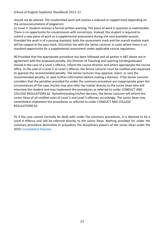should not be altered. The resubmitted work will receive a reduced or capped mark depending on the seriousness/extent of plagiarism;

*(c)* Level 3: Student receives a formal written warning. The piece of work in question is inadmissible. There is no opportunity for resubmission with corrections. Instead, the student is required to submit a new piece of work as a supplemental assessment during the next available session. Provided the work is of a passing standard, both the assessment mark and the overall module mark will be capped at the pass mark. Discretion lies with the Senior Lecturer in cases where there is no standard opportunity for a supplemental assessment under applicable course regulations.

90 Provided that the appropriate procedure has been followed and all parties in §87 above are in agreement with the proposed penalty, the Director of Teaching and Learning (Undergraduate) should in the case of a Level 1 offence, inform the course director and where appropriate the course office. In the case of a Level 2 or Level 3 offence, the Senior Lecturer must be notified and requested to approve the recommended penalty. The Senior Lecturer may approve, reject, or vary the recommended penalty, or seek further information before making a decision. If the Senior Lecturer considers that the penalties provided for under the summary procedure are inappropriate given the circumstances of the case, he/she may also refer the matter directly to the Junior Dean who will interview the student and may implement the procedures as referred to under CONDUCT AND COLLEGE REGULATIONS §2. Notwithstanding his/her decision, the Senior Lecturer will inform the Junior Dean of all notified cases of Level 2 and Level 3 offences accordingly. The Junior Dean may nevertheless implement the procedures as referred to under CONDUCT AND COLLEGE REGULATIONS §2.

91 If the case cannot normally be dealt with under the summary procedures, it is deemed to be a Level 4 offence and will be referred directly to the Junior Dean. Nothing provided for under the summary procedure diminishes or prejudices the disciplinary powers of the Junior Dean under the 2010 Consolidated Statutes.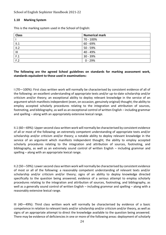#### **1.10 Marking System**

This is the marking system used in the School of English:

| <b>Class</b>   | <b>Numerical mark</b> |
|----------------|-----------------------|
|                | 70 - 100%             |
| II.1           | 60 - 69%              |
| II.2           | 50 - 59%              |
| $\mathbf{III}$ | 40 - 49%              |
| F.1            | 30 - 39%              |
| F.2            | $0 - 29%$             |

## **The following are the agreed School guidelines on standards for marking assessment work, standards equivalent to those used in examinations:**

I (70—100%): First class written work will normally be characterised by consistent evidence of all of the following: an excellent understanding of appropriate texts and/or up-to-date scholarship and/or criticism and/or theory; an exceptional ability to deploy relevant knowledge in the service of an argument which manifests independent (even, on occasion, genuinely original) thought; the ability to employ accepted scholarly procedures relating to the integration and attribution of sources, footnoting, and bibliography, as well as an exceptional control of written English – including grammar and spelling – along with an appropriately extensive lexical range.

II.1 (60—69%): Upper second class written work will normally be characterised by consistent evidence of all or most of the following: an extremely competent understanding of appropriate texts and/or scholarship and/or criticism and/or theory; a notable ability to deploy relevant knowledge in the service of an argument which manifests independent thought; the ability to employ accepted scholarly procedures relating to the integration and attribution of sources, footnoting, and bibliography, as well as an extremely sound control of written English – including grammar and spelling – along with an appropriate lexical range.

II.2 (50—59%): Lower second class written work will normally be characterised by consistent evidence of most or all of the following: a reasonably competent understanding of relevant texts and/or scholarship and/or criticism and/or theory; signs of an ability to deploy knowledge directed specifically to the question being answered; evidence of a serious attempt to employ scholarly procedures relating to the integration and attribution of sources, footnoting, and bibliography, as well as a generally sound control of written English – including grammar and spelling – along with a reasonably extensive lexical range.

III (40—49%): Third class written work will normally be characterised by evidence of a basic competence in relation to relevant texts and/or scholarship and/or criticism and/or theory, as well as signs of an appropriate attempt to direct the knowledge available to the question being answered. There may be evidence of deficiencies in one or more of the following areas: deployment of scholarly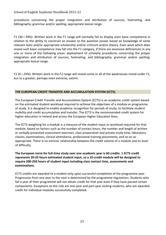procedures concerning the proper integration and attribution of sources, footnoting, and bibliography; grammar and/or spelling; appropriate lexical range.

F1 (30—39%): Written work in the F1 range will normally fail to display even basic competence in relation to the ability to construct an answer to the question posed, based on knowledge of some relevant texts and/or appropriate scholarship and/or criticism and/or theory. Even work which does reveal such basic competence may fall into the F1 category, if there are excessive deficiencies in any one or more of the following areas: deployment of scholarly procedures concerning the proper integration and attribution of sources, footnoting, and bibliography; grammar and/or spelling; appropriate lexical range.

F2 (0—29%): Written work in the F2 range will reveal some or all of the weaknesses noted under F1, but to a greater, perhaps even extreme, extent.

# **THE EUROPEAN CREDIT TRANSFER AND ACCUMULATION SYSTEM (ECTS)**

The European Credit Transfer and Accumulation System (ECTS) is an academic credit system based on the estimated student workload required to achieve the objectives of a module or programme of study. It is designed to enable academic recognition for periods of study, to facilitate student mobility and credit accumulation and transfer. The ECTS is the recommended credit system for higher education in Ireland and across the European Higher Education Area.

The ECTS weighting for a module is a measure of the student input or workload required for that module, based on factors such as the number of contact hours, the number and length of written or verbally presented assessment exercises, class preparation and private study time, laboratory classes, examinations, clinical attendance, professional training placements, and so on as appropriate. There is no intrinsic relationship between the credit volume of a module and its level of difficulty.

# **The European norm for full-time study over one academic year is 60 credits. 1 ECTS credit represents 20-25 hours estimated student input, so a 10-credit module will be designed to require 200-250 hours of student input including class contact time, assessments and examinations.**

ECTS credits are awarded to a student only upon successful completion of the programme year. Progression from one year to the next is determined by the programme regulations. Students who fail a year of their programme will not obtain credit for that year even if they have passed certain components. Exceptions to this rule are one-year and part-year visiting students, who are awarded credit for individual modules successfully completed.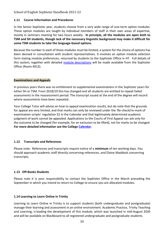## **1.11 Course Information and Procedures**

In the Senior Sophister year, students choose from a very wide range of one-term option modules. These option modules are taught by individual members of staff in their own areas of expertise, mostly in seminars meeting for two hours weekly. **In principle, all the modules are open both to TSM and SH students, though lack of the necessary linguistic background may make it difficult for some TSM students to take the language-based options.** 

Because the number in each of these modules must be limited, a system for the choice of options has been devised in consultation with student representatives. It involves an option module selection form stating module preferences, returned by students to the Sophister Office in HT. Full details of this system, together with detailed [module descriptions](https://www.tcd.ie/English/undergraduate/sophister/module-descriptions-2021-22.php) will be made available from the Sophister Office (Room 4013).

#### **Examinations and Appeals**

In previous years there was no entitlement to supplemental examinations in the Sophister years for either SH or TSM. From 2018/19 this has changed and all students are entitled to repeat failed assessments in the reassessment period. The transcript issued at the end of the degree will record where assessments have been repeated.

Your College Tutor will advise on how to appeal examination results, but do note that the grounds for appeal are very limited, and that marks can only be reviewed under the 'Re-check/re-mark of examination scripts' regulation 52 in the Calendar and that legitimately determined academic judgment of work cannot be appealed. Applications to the Courts of First Appeal can ask only for the outcome to be changed (for example, for an exclusion to be lifted), not for marks to be changed. **For more detailed information see the College [Calendar.](http://www.tcd.ie/calendar/)** 

#### **1.12 Transcripts and References**

Please note: References and transcripts require notice of a **minimum** of ten working days. You should approach academic staff directly concerning references, and Elaine Maddock concerning transcripts.

# **1.13 Off-Books Students**

Please note it is your responsibility to contact the Sophister Office in the March preceding the September in which you intend to return to College to ensure you are allocated modules.

# **1.14 Learning to Learn Online in Trinity**

Learning to Learn Online in Trinity is to support students (both undergraduate and postgraduate) manage their learning and assessment in an online environment. Academic Practice, Trinity Teaching and Learning, is leading the development of this module, which was launched in mid-August 2020 and will be available on Blackboard to all registered undergraduate and postgraduate students.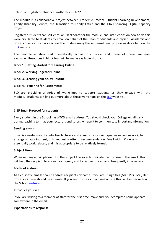The module is a collaborative project between Academic Practice, Student Learning Development, Trinity Disability Service, the Transition to Trinity Office and the IUA Enhancing Digital Capacity Project.

Registered students can self-enrol on Blackboard for the module, and instructions on how to do this were circulated to students by email on behalf of the Dean of Students and myself. Academic and professional staff can also access the module using the self-enrolment process as described on the [SLD](https://student-learning.tcd.ie/learning_to_learn_online/) website.

The module is structured thematically across four blocks and three of these are now available. Resources in block four will be made available shortly.

#### **Block 1. Getting Started for Learning Online**

#### **Block 2. Working Together Online**

#### **Block 3. Creating your Study Routine**

#### **Block 4. Preparing for Assessments**

SLD are providing a series of workshops to support students as they engage with the module. Students can find out more about these workshops on the [SLD](https://student-learning.tcd.ie/workshops/) website .

#### **1.15 Email Protocol for students**

Every student in the School has a TCD email address. You should check your College email daily during teaching term as your lecturers and tutors will use it to communicate important information.

#### **Sending emails**

Email is a useful way of contacting lecturers and administrators with queries re course work, to arrange an appointment, or to request a letter of recommendation. Email within College is essentially work related, and it is appropriate to be relatively formal.

#### **Subject Lines**

When sending email, please fill in the subject line so as to indicate the purpose of the email. This will help the recipient to answer your query and to recover the email subsequently if necessary.

#### **Forms of address**

As a courtesy, emails should address recipients by name. If you are using titles (Ms.; Mrs.; Mr.; Dr.; Professor) these should be accurate. If you are unsure as to a name or title this can be checked on the Schoo[l website.](http://www.tcd.it/english)

#### **Introduce yourself**

If you are writing to a member of staff for the first time, make sure your complete name appears somewhere in the email.

#### **Expectations re response**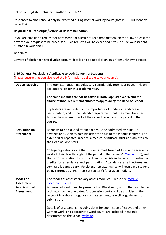Responses to email should only be expected during normal working hours (that is, 9-5.00 Monday to Friday).

# **Requests for Transcripts/Letters of Recommendation**

If you are emailing a request for a transcript or a letter of recommendation, please allow at least ten days for your request to be processed. Such requests will be expedited if you include your student number in your email.

#### **Be secure**

Beware of phishing; never divulge account details and do not click on links from unknown sources.

#### **1.16 General Regulations Applicable to both Cohorts of Students**

(Please ensure that you also read the information applicable to your course).

| <b>Option Modules</b>                     | The Sophister option modules vary considerably from year to year. Please<br>see options list for this academic year.<br>The same modules cannot be taken in both Sophister years, and the<br>choice of modules remains subject to approval by the Head of School.<br>Sophisters are reminded of the importance of module attendance and<br>participation, and of the Calendar requirement that they must take part<br>fully in the academic work of their class throughout the period of their<br>course.                                                                                                                                                                                                                       |
|-------------------------------------------|---------------------------------------------------------------------------------------------------------------------------------------------------------------------------------------------------------------------------------------------------------------------------------------------------------------------------------------------------------------------------------------------------------------------------------------------------------------------------------------------------------------------------------------------------------------------------------------------------------------------------------------------------------------------------------------------------------------------------------|
| <b>Regulation on</b><br><b>Attendance</b> | Requests to be excused attendance must be addressed by e-mail in<br>advance or as soon as possible after the class to the module lecturer. For<br>extended or repeated absence, a medical certificate must be submitted to<br>the Head of Sophisters.<br>College regulations state that students 'must take part fully in the academic<br>work of their class throughout the period of their course' (Calendar H5), and<br>the ECTS calculation for all modules in English includes a proportion of<br>credits for attendance and participation. Attendance at all lectures and<br>seminars is compulsory. Persistent non-attendance will result in a student<br>being returned as N/S ('Non-Satisfactory') for a given module. |
| <b>Modes of</b><br><b>Assessment</b>      | The modes of assessment vary across modules. Please see module<br>assessment details.                                                                                                                                                                                                                                                                                                                                                                                                                                                                                                                                                                                                                                           |
| <b>Submission of</b><br><b>Assessment</b> | All assessed work must be presented on Blackboard, not to the module co-<br>ordinator, by the due dates. A submission portal will be provided in the<br>relevant Blackboard page for each assessment, as well as guidelines for<br>submission.<br>Details of assessment, including dates for submission of essays and other<br>written work, and appropriate word count, are included in module<br>descriptors on the School website.                                                                                                                                                                                                                                                                                           |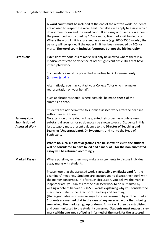|                                                       | A word count must be included at the end of the written work. Students<br>are advised to respect the word limit. Penalties will apply to essays which<br>do not meet or exceed the word count. If an essay or dissertation exceeds<br>the prescribed word count by 10% or more, five marks will be deducted.<br>Where the word limit is expressed as a range (e.g. 2000-2500 words), the<br>penalty will be applied if the upper limit has been exceeded by 10% or<br>more. The word count includes footnotes but not the bibliography.                                                                                                                                                                                                                                                                                     |
|-------------------------------------------------------|-----------------------------------------------------------------------------------------------------------------------------------------------------------------------------------------------------------------------------------------------------------------------------------------------------------------------------------------------------------------------------------------------------------------------------------------------------------------------------------------------------------------------------------------------------------------------------------------------------------------------------------------------------------------------------------------------------------------------------------------------------------------------------------------------------------------------------|
| <b>Extensions</b>                                     | Extensions without loss of marks will only be allowed where there is a<br>medical certificate or evidence of other significant difficulties that have<br>interrupted work.                                                                                                                                                                                                                                                                                                                                                                                                                                                                                                                                                                                                                                                  |
|                                                       | Such evidence must be presented in writing to Dr Jorgensen only<br>(jorgena@tcd.ie).                                                                                                                                                                                                                                                                                                                                                                                                                                                                                                                                                                                                                                                                                                                                        |
|                                                       | Alternatively, you may contact your College Tutor who may make<br>representation on your behalf.                                                                                                                                                                                                                                                                                                                                                                                                                                                                                                                                                                                                                                                                                                                            |
|                                                       | Such applications should, where possible, be made ahead of the<br>submission date.                                                                                                                                                                                                                                                                                                                                                                                                                                                                                                                                                                                                                                                                                                                                          |
|                                                       | Students are not permitted to submit assessed work after the deadline<br>without an extension.                                                                                                                                                                                                                                                                                                                                                                                                                                                                                                                                                                                                                                                                                                                              |
| Failure/Non-<br>Submission of<br><b>Assessed Work</b> | No extension of any kind will be granted retrospectively unless very<br>substantial grounds for so doing can be shown to exist. Students in this<br>last category must present evidence to the Director of Teaching and<br>Learning (Undergraduate), Dr Sweetnam, and not to the Head of<br>Sophisters.                                                                                                                                                                                                                                                                                                                                                                                                                                                                                                                     |
|                                                       | Where no such substantial grounds can be shown to exist, the student<br>will be considered to have failed and a mark of 0 for the non-submitted<br>essay will be returned accordingly.                                                                                                                                                                                                                                                                                                                                                                                                                                                                                                                                                                                                                                      |
| <b>Marked Essays</b>                                  | Where possible, lecturers may make arrangements to discuss individual<br>essay marks with students.                                                                                                                                                                                                                                                                                                                                                                                                                                                                                                                                                                                                                                                                                                                         |
|                                                       | Please note that the assessed work is accessible on Blackboard for the<br>examiners' meetings. Students are encouraged to discuss their work with<br>the marker concerned. If, after such discussion, you believe the mark is<br>inappropriate, you can ask for the assessed work to be re-marked by<br>writing a note of between 300-500 words explaining why you consider the<br>mark inaccurate to the Director of Teaching and Learning<br>(Undergraduate), who may arrange for a reassessment by another marker.<br>Students are warned that in the case of any assessed work that is being<br>re-marked, the mark can go up or down. A mark will then be established<br>and communicated to the student concerned. Students must request a re-<br>mark within one week of being informed of the mark for the assessed |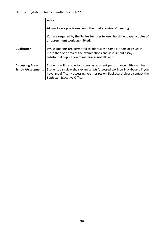|                                                      | work.<br>All marks are provisional until the final examiners' meeting.<br>You are required by the Senior Lecturer to keep hard (i.e. paper) copies of<br>all assessment work submitted.                                                                            |
|------------------------------------------------------|--------------------------------------------------------------------------------------------------------------------------------------------------------------------------------------------------------------------------------------------------------------------|
| <b>Duplication</b>                                   | While students are permitted to address the same authors or issues in<br>more than one area of the examinations and assessment essays,<br>substantial duplication of material is <b>not</b> allowed.                                                               |
| <b>Discussing Exam</b><br><b>Scripts/Assessments</b> | Students will be able to discuss assessment performance with examiners.<br>Students can view their exam scripts/assessed work on Blackboard. If you<br>have any difficulty accessing your scripts on Blackboard please contact the<br>Sophister Executive Officer. |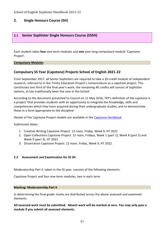# **2. Single Honours Course (SH)**

# **2.1 Senior Sophister Single Honours Course (SSSH)**

Each student takes **four** one-term modules and **one** year-long compulsory module 'Capstone Project'.

**Compulsory Modules**

# **Compulsory SS Year (Capstone) Projects School of English 2021-22**

From September 2017, *all* Senior Sophisters are required to take a 20-credit module of independent research, referred to in the Trinity Education Project's nomenclature as a *capstone project*. This constitutes one third of the final year's work; the remaining 40 credits will consist of Sophister options, as has traditionally been the case in the School.

According to the document presented to Council on 11 May 2016, TEP's definition of the capstone is a project 'that provides students with an opportunity to integrate the knowledge, skills and competencies which they have acquired during their undergraduate studies, and to demonstrate these in a form appropriate to the discipline'.

Details of the Capstone Project models are available in the [Capstone Handbook.](http://www.tcd.ie/English/undergraduate/sophister/capstone-project-2019-20.php.)

Submission dates:

- 1. Creative Writing Capstone Project: 12 noon, Friday, Week 9, HT 2022
- 2. Open Collections Capstone Project: 12 noon, Fridays, Week 1 (part 1), Week 8 (part 2) and Week 9 (part 3), HT 2022
- 3. Dissertation Capstone Project: 12 noon, Friday, Week 9, HT 2022.

#### **2.2 Assessment and Examination for SS SH**

Moderatorship Part II, taken in the SS year, consists of the following elements:

Capstone Project and four one-term modules, two in each term

#### **Marking: Moderatorship Part II**

In determining the final grade, marks are distributed across the above assessed and examined elements.

**All assessed work must be submitted. Absent work will be marked at zero. You may only pass a module if you submit all assessed elements.**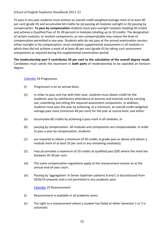To pass in any year students must achieve an overall credit-weighted average mark of at least 40 per cent (grade III) and accumulate 60 credits by *(a)* passing all modules outright or *(b)* passing by compensation. **To pass by compensation** students must pass outright modules totalling 50 credits and achieve a Qualified Pass of 35-39 percent in modules totalling up to 10 credits. The designation of certain modules, or module components, as non-compensatable may reduce the level of compensation permitted in any year. Students who do not pass at the annual examination session, either outright or by compensation, must complete supplemental assessments in all modules in which they did not achieve a mark of at least 40 per cent (grade III) by taking such assessment components as required during the supplemental examination period.

**The moderatorship part II contributes 50 per cent to the calculation of the overall degree result.** Candidates must satisfy the examiners in **both parts** of moderatorship to be awarded an honours degree.

[Calendar](http://www.tcd.ie/calendar/) 24 Progression:

- (i) Progression is on an annual basis.
- (ii) In order to pass and rise with their year, students must obtain credit for the academic year by satisfactory attendance at lectures and tutorials and by carrying out, submitting and sitting the required assessment components. In addition, students must pass the year by achieving, at a minimum, an overall credit-weighted average pass mark (minimum 40 per cent) for the year at course level, and either:
- *(a)* accumulate 60 credits by achieving a pass mark in all modules, or
- *(b)* passing by compensation. All modules and components are compensatable. In order to pass a year by compensation, students:
- (1) are required to obtain a minimum of 50 credits at grade pass or above and obtain a module mark of at least 35 per cent in any remaining module(s);
- (2) may accumulate a maximum of 10 credits at qualified pass (QP) where the mark lies between 35-39 per cent.
- (iii) The same compensation regulations apply at the reassessment session as at the annual end-of-year court.
- (iv) Passing by 'aggregation' in Senior Sophister patterns B and C is discontinued from 2018/19 onwards and is not permitted in any academic year.

[Calendar](http://www.tcd.ie/calendar/) 25 Reassessment:

- (i) Reassessment is available in all academic years.
- (ii) The right to a reassessment where a student has failed at either Semester 1 or 2 is automatic.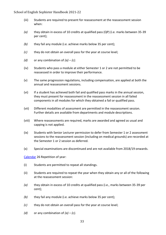- (iii) Students are required to present for reassessment at the reassessment session when:
- *(a)* they obtain in excess of 10 credits at qualified pass (QP) (i.e. marks between 35-39 per cent);
- *(b)* they fail any module (i.e. achieve marks below 35 per cent);
- *(c)* they do not obtain an overall pass for the year at course level;
- *(d)* or any combination of  $(a) (c)$ .
- (iv) Students who pass a module at either Semester 1 or 2 are not permitted to be reassessed in order to improve their performance.
- (v) The same progression regulations, including compensation, are applied at both the annual and reassessment sessions.
- (vi) If a student has achieved both fail and qualified pass marks in the annual session, they must present for reassessment in the reassessment session in all failed components in all modules for which they obtained a fail or qualified pass.
- (vii) Different modalities of assessment are permitted in the reassessment session. Further details are available from departments and module descriptions.
- (viii) Where reassessments are required, marks are awarded and agreed as usual and capping is not applied.
- (ix) Students with Senior Lecturer permission to defer from Semester 1 or 2 assessment sessions to the reassessment session (including on medical grounds) are recorded at the Semester 1 or 2 session as deferred.
- (x) Special examinations are discontinued and are not available from 2018/19 onwards.

[Calendar](http://www.tcd.ie/calendar/) 26 Repetition of year:

- (i) Students are permitted to repeat all standings.
- (ii) Students are required to repeat the year when they obtain any or all of the following at the reassessment session:
- *(a)* they obtain in excess of 10 credits at qualified pass (i.e., marks between 35-39 per cent);
- *(b)* they fail any module (i.e. achieve marks below 35 per cent);
- *(c)* they do not obtain an overall pass for the year at course level;
- *(d)* or any combination of  $(a) (c)$ .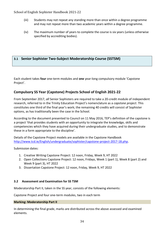- (iii) Students may not repeat any standing more than once within a degree programme and may not repeat more than two academic years within a degree programme.
- (iv) The maximum number of years to complete the course is six years (unless otherwise specified by accrediting bodies).

# **3.1 Senior Sophister Two-Subject Moderatorship Course (SSTSM)**

Each student takes **four** one-term modules and **one** year-long compulsory module 'Capstone Project'.

# **Compulsory SS Year (Capstone) Projects School of English 2021-22**

From September 2017, *all* Senior Sophisters are required to take a 20-credit module of independent research, referred to in the Trinity Education Project's nomenclature as a *capstone project*. This constitutes one third of the final year's work; the remaining 40 credits will consist of Sophister options, as has traditionally been the case in the School.

According to the document presented to Council on 11 May 2016, TEP's definition of the capstone is a project 'that provides students with an opportunity to integrate the knowledge, skills and competencies which they have acquired during their undergraduate studies, and to demonstrate these in a form appropriate to the discipline'.

Details of the Capstone Project models are available in the Capstone Handbook [http://www.tcd.ie/English/undergraduate/sophister/capstone-project-2017-18.php.](http://www.tcd.ie/English/undergraduate/sophister/capstone-project-2017-18.php)

Submission dates:

- 1. Creative Writing Capstone Project: 12 noon, Friday, Week 9, HT 2022
- 2. Open Collections Capstone Project: 12 noon, Fridays, Week 1 (part 1), Week 8 (part 2) and Week 9 (part 3), HT 2022
- 3. Dissertation Capstone Project: 12 noon, Friday, Week 9, HT 2022

#### **3.2 Assessment and Examination for SS TSM**

Moderatorship Part II, taken in the SS year, consists of the following elements:

Capstone Project and four one-term modules, two in each term

#### **Marking: Moderatorship Part II**

In determining the final grade, marks are distributed across the above assessed and examined elements.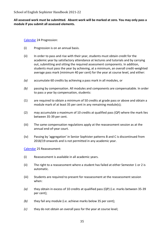## **All assessed work must be submitted. Absent work will be marked at zero. You may only pass a module if you submit all assessed elements.**

[Calendar](http://www.tcd.ie/calendar/) 24 Progression:

- (i) Progression is on an annual basis.
- (ii) In order to pass and rise with their year, students must obtain credit for the academic year by satisfactory attendance at lectures and tutorials and by carrying out, submitting and sitting the required assessment components. In addition, students must pass the year by achieving, at a minimum, an overall credit-weighted average pass mark (minimum 40 per cent) for the year at course level, and either:
- *(a)* accumulate 60 credits by achieving a pass mark in all modules, or
- *(b)* passing by compensation. All modules and components are compensatable. In order to pass a year by compensation, students:
- (1) are required to obtain a minimum of 50 credits at grade pass or above and obtain a module mark of at least 35 per cent in any remaining module(s);
- (2) may accumulate a maximum of 10 credits at qualified pass (QP) where the mark lies between 35-39 per cent.
- (iii) The same compensation regulations apply at the reassessment session as at the annual end-of-year court.
- (iv) Passing by 'aggregation' in Senior Sophister patterns B and C is discontinued from 2018/19 onwards and is not permitted in any academic year.

[Calendar](http://www.tcd.ie/calendar/) 25 Reassessment:

- (i) Reassessment is available in all academic years.
- (ii) The right to a reassessment where a student has failed at either Semester 1 or 2 is automatic.
- (iii) Students are required to present for reassessment at the reassessment session when:
- *(a)* they obtain in excess of 10 credits at qualified pass (QP) (i.e. marks between 35-39 per cent);
- *(b)* they fail any module (i.e. achieve marks below 35 per cent);
- *(c)* they do not obtain an overall pass for the year at course level;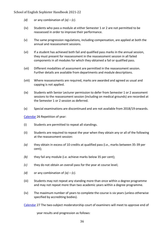- *(d)* or any combination of  $(a) (c)$ .
- (iv) Students who pass a module at either Semester 1 or 2 are not permitted to be reassessed in order to improve their performance.
- (v) The same progression regulations, including compensation, are applied at both the annual and reassessment sessions.
- (vi) If a student has achieved both fail and qualified pass marks in the annual session, they must present for reassessment in the reassessment session in all failed components in all modules for which they obtained a fail or qualified pass.
- (vii) Different modalities of assessment are permitted in the reassessment session. Further details are available from departments and module descriptions.
- (viii) Where reassessments are required, marks are awarded and agreed as usual and capping is not applied.
- (ix) Students with Senior Lecturer permission to defer from Semester 1 or 2 assessment sessions to the reassessment session (including on medical grounds) are recorded at the Semester 1 or 2 session as deferred.
- (x) Special examinations are discontinued and are not available from 2018/19 onwards.

[Calendar](http://www.tcd.ie/calendar/) 26 Repetition of year:

- (i) Students are permitted to repeat all standings.
- (ii) Students are required to repeat the year when they obtain any or all of the following at the reassessment session:
- *(a)* they obtain in excess of 10 credits at qualified pass (i.e., marks between 35-39 per cent);
- *(b)* they fail any module (i.e. achieve marks below 35 per cent);
- *(c)* they do not obtain an overall pass for the year at course level;
- *(d)* or any combination of  $(a) (c)$ .
- (iii) Students may not repeat any standing more than once within a degree programme and may not repeat more than two academic years within a degree programme.
- (iv) The maximum number of years to complete the course is six years (unless otherwise specified by accrediting bodies).

[Calendar](http://www.tcd.ie/calendar/) 27 The two-subject moderatorship court of examiners will meet to approve end of

year results and progression as follows: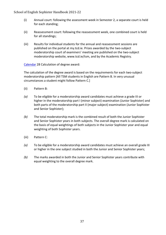- (i) Annual court: following the assessment week in Semester 2, a separate court is held for each standing;
- (ii) Reassessment court: following the reassessment week, one combined court is held for all standings;
- (iii) Results for individual students for the annual and reassessment sessions are published on the portal at my.tcd.ie. Prizes awarded by the two-subject moderatorship court of examiners' meeting are published on the two-subject moderatorship website, www.tcd.ie/tsm, and by the Academic Registry.

[Calendar](http://www.tcd.ie/calendar/) 28 Calculation of degree award:

The calculation of the degree award is based on the requirements for each two-subject moderatorship pattern [All TSM students in English are Pattern B. In very unusual circumstances a student might follow Pattern C.]

- (ii) Pattern B:
- *(a)* To be eligible for a moderatorship award candidates must achieve a grade III or higher in the moderatorship part I (minor subject) examination (Junior Sophister) and both parts of the moderatorship part II (major subject) examination (Junior Sophister and Senior Sophister);
- *(b)* The total moderatorship mark is the combined result of both the Junior Sophister and Senior Sophister years in both subjects. The overall degree mark is calculated on the basis of equal weightings of both subjects in the Junior Sophister year and equal weighting of both Sophister years.
- (iii) Pattern C:
- *(a)* To be eligible for a moderatorship award candidates must achieve an overall grade III or higher in the one subject studied in both the Junior and Senior Sophister years;
- *(b)* The marks awarded in both the Junior and Senior Sophister years contribute with equal weighting to the overall degree mark.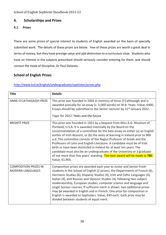# **4. Scholarships and Prizes**

# **4.1 Prizes**

There are some prizes of special interest to students of English awarded on the basis of specially submitted work. The details of these prizes are below. Few of these prizes are worth a great deal in terms of money, but they have prestige value and add distinction to a curriculum vitae. Students who have an interest in the subjects prescribed should seriously consider entering for them, and should contact the Head of Discipline, Dr Paul Delaney.

# **School of English Prizes**

| <b>Title</b>                                            | <b>Details</b>                                                                                                                                                                                                                                                                                                                                                                                                                                                                                                                                                                                                                                                                                              |
|---------------------------------------------------------|-------------------------------------------------------------------------------------------------------------------------------------------------------------------------------------------------------------------------------------------------------------------------------------------------------------------------------------------------------------------------------------------------------------------------------------------------------------------------------------------------------------------------------------------------------------------------------------------------------------------------------------------------------------------------------------------------------------|
| ANNE O'CATHASAIGH PRIZE                                 | This prize was founded in 2003 in memory of Anne O'Cathasaigh and is<br>awarded annually for an essay (c. 5,000 words) on W.B. Yeats. Value, €400.<br>Essays should be submitted to the Senior Lecturer by 31 <sup>st</sup> January 2022.<br>Topic for 2022: Yeats and the future                                                                                                                                                                                                                                                                                                                                                                                                                           |
| <b>BRONTË PRIZE</b>                                     | This prize was founded in 1921 by a bequest from Miss A.G. Woolson of<br>Portland, U.S.A. It is awarded triennially by the Board on the<br>recommendation of a committee for the best essay on either (a) an English<br>author of Irish descent, or (b) the seats of learning in Ireland prior to 900<br>a.d. The committee consists of the Regius Professor of Greek and the<br>Professors of Latin and English Literature. A candidate must be of Irish<br>birth or have been domiciled in Ireland for at least ten years. The<br>candidate must also be an undergraduate of the University or a graduate<br>of not more than five years' standing. The next award will be made in TBC.<br>Value, €1,905. |
| <b>COMPOSITION PRIZES IN</b><br><b>MODERN LANGUAGES</b> | Composition prizes are awarded each year to Junior and Senior Fresh<br>students in the School of English (2 prizes), the Departments of French (6),<br>Germanic Studies (6), Hispanic Studies (4), Irish and Celtic Languages (4),<br>Italian (4), and Russian and Slavonic Studies (4), following two-subject<br>moderatorship, European studies, computer science and language and<br>single honour courses. If sufficient merit is shown, two additional prizes<br>may be awarded in English and in French. One prize for composition in<br>English is awarded to Sophisters. Value, €40 each. Each prize may be<br>divided between students of equal merit.                                             |

# <http://www.tcd.ie/English/undergraduate/sophister/prizes.php>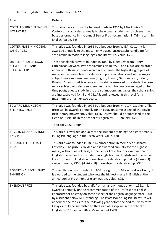| <b>Title</b>                                                          | <b>Details</b>                                                                                                                                                                                                                                                                                                                                                                                                                                                                                                                                                                                                                                                                                                          |
|-----------------------------------------------------------------------|-------------------------------------------------------------------------------------------------------------------------------------------------------------------------------------------------------------------------------------------------------------------------------------------------------------------------------------------------------------------------------------------------------------------------------------------------------------------------------------------------------------------------------------------------------------------------------------------------------------------------------------------------------------------------------------------------------------------------|
| <b>COSTELLO PRIZE IN ENGLISH</b><br>LITERATURE                        | This prize derives from the bequest made in 1954 by Miss Louisa G.<br>Costello. It is awarded annually to the woman student who achieves the<br>best performance in the annual Senior Fresh examination in Trinity term in<br>English. Value, €45.                                                                                                                                                                                                                                                                                                                                                                                                                                                                      |
| <b>COTTER PRIZE IN MODERN</b><br><b>LANGUAGES</b>                     | This prize was founded in 1953 by a bequest from W.E.P. Cotter. It is<br>awarded annually to the most highly placed unsuccessful candidate for<br>scholarship in modern languages and literature. Value, €75.                                                                                                                                                                                                                                                                                                                                                                                                                                                                                                           |
| DR HENRY HUTCHINSON<br><b>STEWART LITERARY</b><br><b>SCHOLARSHIPS</b> | These scholarships were founded in 1884 by a bequest from Henry<br>Hutchinson Stewart. Two scholarships, value €500 and €400, are awarded<br>annually to those students who have obtained the highest aggregate of<br>marks in the two-subject moderatorship examinations and whose major<br>subject was a modern language (English, French, German, Irish, Italian,<br>Russian, Spanish). At least one scholarship is reserved for a student whose<br>minor subject was also a modern language. If holders are engaged on full-<br>time postgraduate study in the area of modern languages, the scholarships<br>are increased to €4,445 and €3,175, and renewed at this level for a<br>maximum of a further two years. |
| <b>EDWARD MILLINGTON</b><br><b>STEPHENS PRIZE</b>                     | This prize was founded in 1972 by a bequest from Mrs L.M. Stephens. The<br>prize will be awarded annually for an essay on some aspect of the Anglo-<br>Irish literary movement. Value, €166. Essays should be submitted to the<br>Head of Discipline in the School of English by 31 <sup>st</sup> January 2022.<br>Topic for 2022: Union                                                                                                                                                                                                                                                                                                                                                                                |
| PRIZE IN OLD AND MIDDLE<br><b>ENGLISH</b>                             | This prize is awarded annually to the student obtaining the highest marks<br>in English language in the Fresh years. Value, €30.                                                                                                                                                                                                                                                                                                                                                                                                                                                                                                                                                                                        |
| RICHARD F. LITTLEDALE<br><b>PRIZE</b>                                 | This prize was founded in 1892 by subscription in memory of Richard F.<br>Littledale. The prize is divided and is awarded annually for the highest<br>marks, without loss of class, at the Senior Fresh honour examination in<br>English to a Senior Fresh student in single honours English and to a Senior<br>Fresh student of English in two-subject moderatorship. Value (division I)<br>single honours, €350; (division II) two-subject moderatorship, €350                                                                                                                                                                                                                                                        |
| ROBERT WALLACE HENRY<br><b>EXHIBITION</b>                             | This exhibition was founded in 1946 by a gift from Mrs A. Wallace Henry. It<br>is awarded to the student who gets the highest marks in English at the<br>annual Junior Fresh honour examination. Value, €25.                                                                                                                                                                                                                                                                                                                                                                                                                                                                                                            |
| <b>SHERIDAN PRIZE</b>                                                 | This prize was founded by a gift from an anonymous donor in 1961. It is<br>awarded annually on the recommendation of the Professor of English<br>Literature for an essay on some aspect of the English language after 1400,<br>by a student below M.A. standing. The Professor of English Literature will<br>announce the topics for the following year before the end of Trinity term.<br>Essays should be submitted to the Head of Discipline in the School of<br>English by 31 <sup>st</sup> January 2022. Value, about €200.                                                                                                                                                                                        |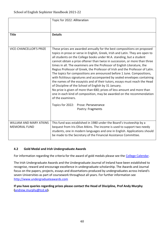|                                                        | Topic for 2022: Alliteration                                                                                                                                                                                                                                                                                                                                                                                                                                                                                                                                                                                                                                                                                                                                                                                                                                                                                                                                                                                    |
|--------------------------------------------------------|-----------------------------------------------------------------------------------------------------------------------------------------------------------------------------------------------------------------------------------------------------------------------------------------------------------------------------------------------------------------------------------------------------------------------------------------------------------------------------------------------------------------------------------------------------------------------------------------------------------------------------------------------------------------------------------------------------------------------------------------------------------------------------------------------------------------------------------------------------------------------------------------------------------------------------------------------------------------------------------------------------------------|
| <b>Title</b>                                           | <b>Details</b>                                                                                                                                                                                                                                                                                                                                                                                                                                                                                                                                                                                                                                                                                                                                                                                                                                                                                                                                                                                                  |
| <b>VICE-CHANCELLOR'S PRIZE</b>                         | These prizes are awarded annually for the best compositions on proposed<br>topics in prose or verse in English, Greek, Irish and Latin. They are open to<br>all students on the College books under M.A. standing, but a student<br>cannot obtain a prize oftener than twice in succession, or more than three<br>times in all. The examiners are the Professor of English Literature, the<br>Regius Professor of Greek, the Professor of Irish and the Professor of Latin.<br>The topics for compositions are announced before 1 June. Compositions,<br>with fictitious signatures and accompanied by sealed envelopes containing<br>the names of the essayists and of their tutors, essays must reach the Head<br>of Discipline of the School of English by 31 January.<br>No prize is given of more than €80; prizes of less amount and more than<br>one in each kind of composition, may be awarded on the recommendation<br>of the examiners.<br>Topics for 2022: Prose: Perseverance<br>Poetry: Fragments |
| <b>WILLIAM AND MARY ATKINS</b><br><b>MEMORIAL FUND</b> | This fund was established in 1980 under the Board's trusteeship by a<br>bequest from Iris Olive Atkins. The income is used to support two needy<br>students, one in modern languages and one in English. Applications should<br>be made to the Secretary of the Financial Assistance Committee.                                                                                                                                                                                                                                                                                                                                                                                                                                                                                                                                                                                                                                                                                                                 |

# **4.2 Gold Medal and Irish Undergraduate Awards**

For information regarding the criteria for the award of gold medals please see the [College Calendar.](https://www.tcd.ie/calendar/undergraduate-studies/foundation-and-non-foundation-scholarships.pdf)

The Irish Undergraduate Awards and the Undergraduate Journal of Ireland have been established to recognise, reward and encourage excellence in undergraduate scholarship. The Awards and Journal focus on the papers, projects, essays and dissertations produced by undergraduates across Ireland's seven Universities as part of coursework throughout all years. For further information see [http://www.undergraduateawards.com](http://www.undergraduateawards.com/)

**If you have queries regarding prizes please contact the Head of Discipline, Prof Andy Murphy (**[andrew.murphy@tcd.ie](mailto:andrew.murphy@tcd.ie)**).**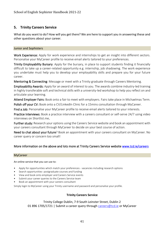# **5. Trinity Careers Service**

What do you want to do? How will you get there? We are here to support you in answering these and other questions about your career.

#### Junior and Sophisters

Work Experience: Apply for work experience and internships to get an insight into different sectors. Personalise your MyCareer profile to receive email alerts tailored to your preferences.

Trinity Employability Bursary: Apply for the bursary, in place to support students finding it financially difficult to take up a career-related opportunity e.g. internship, job shadowing. The work experience you undertake must help you to develop your employability skills and prepare you for your future career.

Mentoring & Connecting: Message or meet with a Trinity graduate through Careers Mentoring.

Employability Awards: Apply for an award of interest to you. The awards combine industry-led training in highly transferable soft and technical skills with a university-led workshop to help you reflect on and articulate your learning.

Attend Employer Fairs: Book onto a fair to meet with employers. Fairs take place in Michaelmas Term. Polish off your CV: Book onto a CV/LinkedIn Clinic for a 15mins consultation through MyCareer.

Find a Job: Personalise your MyCareer profile to receive email alerts tailored to your interests.

Practice Interviews: Book a practice interview with a careers consultant or self-serve 24/7 using video interviews on Shortlist.me.

Further study: Research your options using the Careers Service website and book an appointment with your careers consultant through MyCareer to decide on your best course of action.

Need to chat about your future? Book an appointment with your careers consultant on MyCareer. No career query or concern too small!

# More information on the above and lots more at Trinity Careers Service websit[e www.tcd.ie/careers](http://www.tcd.ie/careers)

#### MyCareer

#### An online service that you can use to:

- Apply for opportunities which match your preferences vacancies including research options
- Search opportunities- postgraduate courses and funding
- View and book onto employer and Careers Service events
- Submit your career queries to the Careers Service team
- Book an appointment with your careers consultant

Simply login to MyCareer using your Trinity username and password and personalise your profile.

#### **Trinity Careers Service**

Trinity College Dublin, 7-9 South Leinster Street, Dublin 2 01 896 1705/1721 | Submit a career query through [careers@tcd.ie](mailto:careers@tcd.ie) or MyCareer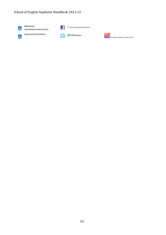

MyCareer: mycareerconnect.tcd.ie





www.tcd.ie/careers/ @TCDCareers

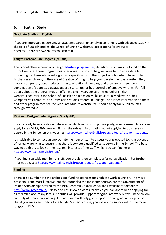# **6. Further Study**

#### **Graduate Studies in English**

If you are interested in pursuing an academic career, or simply in continuing with advanced study in the field of English studies, the School of English welcomes applications for graduate degrees. There are two routes you can take.

#### **Taught Postgraduate Degrees (MPhils)**

The School offers a number of taught [Masters programmes,](https://www.tcd.ie/English/postgraduate/) details of which may be found on the School website. These programmes offer a year's study in the given area to provide a detailed grounding for those who want a graduate qualification in the subject or who intend to go on to further research – or, in the case of Creative Writing, to help your development as a writer. They involve compulsory core modules, a range of optional modules, and they are assessed by a combination of submitted essays and a dissertation, or by a portfolio of creative writing. For full details about the programmes on offer in a given year, consult the School of English website. Lecturers in the School of English also teach on MPhil courses in Medieval Studies, Comparative Literature, and Translation Studies offered in College. For further information on these and other programmes see the Graduate Studies website. You should apply for MPhil courses through my.tcd.ie.

#### **Research Postgraduate Degrees (MLitt/PhD)**

If you already have a fairly definite area in which you wish to pursue postgraduate research, you can apply for an MLitt/PhD. You will find all the relevant information about applying to do a research degree in the School on this website: [https://www.tcd.ie/English/postgraduate/research-students/](https://www.tcd.ie/English/postgraduate/research-students)

It is advisable to contact an appropriate member of staff to discuss your proposed topic in advance of formally applying to ensure that there is someone qualified to supervise in the School. The best way to do this is to look at the research interests of the staff, which you can find here: [https://www.tcd.ie/English/staff/](https://www.tcd.ie/English/staff)

If you find a suitable member of staff, you should then complete a formal application. For further information, see:<https://www.tcd.ie/English/postgraduate/research-students/>

#### **Funding**

There are a number of scholarships and funding agencies for graduate work in English. The most prestigious and most lucrative, but therefore also the most competitive, are the Government of Ireland Scholarships offered by the Irish Research Council: check their website for deadlines <http://www.research.ie/> Trinity also has its own awards for which you can apply when applying for a research place. Many local authorities will provide support for graduate work but you need to look carefully at their individual regulations. Some will only give support for one graduate degree, so that if you are given funding for a taught Master's course, you will not be supported for the more long-term PhD.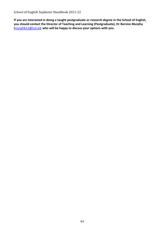**If you are interested in doing a taught postgraduate or research degree in the School of English, you should contact the Director of Teaching and Learning (Postgraduate), Dr Bernice Murphy (**[murphb12@tcd.ie](mailto:murphb12@tcd.ie)**), who will be happy to discuss your options with you.**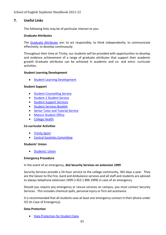# **7. Useful Links**

The following links may be of particular interest to you:

#### **Graduate Attributes**

The [Graduate Attributes](https://www.tcd.ie/TEP/) are: to act responsibly; to think independently; to communicate effectively; to develop continuously.

Throughout their time at Trinity, our students will be provided with opportunities to develop and evidence achievement of a range of graduate attributes that support their academic growth. Graduate attributes can be achieved in academic and co- and extra- curricular activities.

#### **Student Learning Development**

• [Student Learning Development](https://www.tcd.ie/Student_Counselling/student-learning/)

#### **Student Support**

- [Student Counselling Service](https://www.tcd.ie/Student_Counselling/)
- [Student 2 Student Service](https://student2student.tcd.ie/)
- [Student Support Services](https://www.tcd.ie/students/supports-services/)
- [Student Services Booklet](https://www.tcd.ie/corporate-services/assets/pdf/Student%20Services%20Booklet%20(web%20version).pdf)
- [Senior Tutor and Tutorial Service](https://www.tcd.ie/seniortutor/tutors/tssf/)
- [Mature Student Office](https://www.tcd.ie/maturestudents/)
- [College Health](https://www.tcd.ie/collegehealth/service/overview.php)

#### **Co-curricular Activities**

- [Trinity Sport](https://www.tcd.ie/Sport/)
- [Central Societies Committee](http://www.tcdlife.ie/clubs-societies/)

#### **Students' Union:**

[Students' Union](https://www.tcdsu.org/)

#### **Emergency Procedure**

#### In the event of an emergency, **dial Security Services on extension 1999**

Security Services provide a 24-hour service to the college community, 365 days a year. They are the liaison to the Fire, Gard and Ambulance services and all staff and students are advised to always telephone extension 1999 (+353 1 896 1999) in case of an emergency.

Should you require any emergency or rescue services on campus, you must contact Security Services. This includes chemical spills, personal injury or first aid assistance.

It is recommended that all students save at least one emergency contact in their phone under ICE (In Case of Emergency).

#### **Data Protection**

• [Data Protection for Student Data](https://www.tcd.ie/info_compliance/data-protection/student-data/)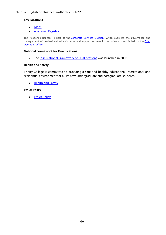# **Key Locations**

- [Maps](https://www.tcd.ie/Maps/)
- [Academic Registry](http://www.tcd.ie/academicregistry/)

The Academic Registry is part of the [Corporate Services Division,](https://www.tcd.ie/corporate-services/) which oversees the governance and management of professional administrative and support services in the university and is led by the Chief [Operating Officer.](https://www.tcd.ie/corporate-services/about/)

## **National Framework for Qualifications**

• The [Irish National Framework of Qualifications](https://www.qqi.ie/Articles/Pages/National-Framework-of-Qualifications-(NFQ).aspx) was launched in 2003.

# **Health and Safety**

Trinity College is committed to providing a safe and healthy educational, recreational and residential environment for all its new undergraduate and postgraduate students.

• [Health and Safety](https://www.tcd.ie/students/orientation/shw/)

# **Ethics Policy**

• [Ethics Policy](https://www.tcd.ie/about/policies/ethics-policy.php)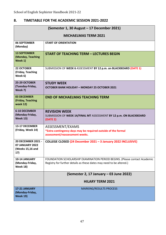# **8. TIMETABLE FOR THE ACADEMIC SESSION 2021-2022**

| (Semester 1, 30 August - 17 December 2021)                              |                                                                                                                                                    |  |
|-------------------------------------------------------------------------|----------------------------------------------------------------------------------------------------------------------------------------------------|--|
| <b>MICHAELMAS TERM 2021</b>                                             |                                                                                                                                                    |  |
| <b>06 SEPTEMBER</b><br>(Monday)                                         | <b>START OF ORIENTATION</b>                                                                                                                        |  |
| <b>13 SEPTEMBER</b><br>(Monday, Teaching<br>Week 1)                     | <b>START OF TEACHING TERM - LECTURES BEGIN</b>                                                                                                     |  |
| <b>22 OCTOBER</b><br>(Friday, Teaching<br>Week 6)                       | SUBMISSION OF WEEK 6 ASSESSMENT BY 12 p.m. on BLACKBOARD (DATE 1)                                                                                  |  |
| 25-29 OCTOBER<br>(Tuesday-Friday,<br>Week 7)                            | <b>STUDY WEEK</b><br>OCTOBER BANK HOLIDAY - MONDAY 25 OCTOBER 2021                                                                                 |  |
| <b>03 DECEMBER</b><br>(Friday, Teaching<br><b>week 12)</b>              | <b>END OF MICHAELMAS TEACHING TERM</b>                                                                                                             |  |
| <b>6-10 DECEMBER</b><br>(Monday-Friday,<br><b>Week 13)</b>              | <b>REVISION WEEK</b><br>SUBMISSION OF WEEK 14/FINAL MT ASSESSMENT BY 12 p.m. ON BLACKBOARD<br>(DATE 2)                                             |  |
| 13-17 DECEMBER<br>(Friday, Week 14)                                     | ASSESSMENT/EXAMS<br>*Extra contingency days may be required outside of the formal<br>assessment/reassessment weeks.                                |  |
| 20 DECEMBER 2021 -<br><b>07 JANUARY 2022</b><br>(Weeks 15,16 and<br>17) | COLLEGE CLOSED (24 December 2021 - 3 January 2022 INCLUSIVE)                                                                                       |  |
| 10-14 JANUARY<br>(Monday-Friday,<br><b>Week 18)</b>                     | FOUNDATION SCHOLARSHIP EXAMINATION PERIOD BEGINS. (Please contact Academic<br>Registry for further details as these dates may need to be altered.) |  |
|                                                                         | (Semester 2, 17 January – 03 June 2022)                                                                                                            |  |
|                                                                         | <b>HILARY TERM 2021</b>                                                                                                                            |  |
| 17-21 JANUARY<br>(Monday-Friday,<br><b>Week 19)</b>                     | <b>MARKING/RESULTS PROCESS</b>                                                                                                                     |  |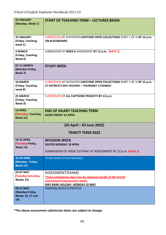| <b>24 JANUARY</b><br>(Monday, Week 1)                            | <b>START OF TEACHING TERM - LECTURES BEGIN</b>                                                                                                                |
|------------------------------------------------------------------|---------------------------------------------------------------------------------------------------------------------------------------------------------------|
| <b>29 JANUARY</b><br>(Friday, Teaching<br>week 1)                | SUBMISSION OF SOPHISTER CAPSTONE OPEN COLLECTIONS (PART 1 OF 3) BY 12 p.m.<br><b>ON BLACKBOARD</b>                                                            |
| <b>4 MARCH</b><br>(Friday, Teaching<br>Week 6)                   | SUBMISSION OF WEEK 6 ASSESSMENT BY 12 p.m. (DATE 1)                                                                                                           |
| 07-11 MARCH<br>(Monday-Friday,<br>Week 7)                        | <b>STUDY WEEK</b>                                                                                                                                             |
| <b>18 MARCH</b><br>(Friday, Teaching<br>week 8)                  | SUBMISSION OF SOPHISTER CAPSTONE OPEN COLLECTIONS (PART 2 OF 3) BY 12 p.m.<br>ST PATRICK'S DAY HOLIDAY - THURSDAY 17 MARCH                                    |
| <b>25 MARCH</b><br>(Friday, Teaching<br>Week 9)                  | SUBMISSION OF ALL CAPTSONE PROJECTS BY 12 p.m.                                                                                                                |
| <b>14 APRIL</b><br><b>(Thursday, Teaching</b><br><b>Week 12)</b> | <b>END OF HILARY TEACHING TERM</b><br><b>GOOD FRIDAY 15 APRIL</b>                                                                                             |
| (25 April – 03 June 2022)                                        |                                                                                                                                                               |
|                                                                  | <b>TRINITY TERM 2022</b>                                                                                                                                      |
| <b>19-22 APRIL</b><br>(Tuesday-Friday,<br><b>Week 13)</b>        | <b>REVISION WEEK</b><br><b>EASTER MONDAY 18 APRIL</b><br>SUBMISSION OF WEEK 15/FINAL HT ASSESSMENT BY 12 p.m. (DATE 2)                                        |
| <b>25-29 APRIL</b><br>(Monday - Friday<br><b>Week 14)</b>        | <b>Trinity Week (Trinity Monday)</b>                                                                                                                          |
| 03-07 MAY<br>(Tuesday-Saturday,<br>Weeks 15)                     | ASSESSMENT/EXAMS<br>*Extra contingency days may be required outside of the formal<br>assessment/reassessment weeks.<br><b>MAY BANK HOLIDAY- MONDAY 02 MAY</b> |
| 09-27 MAY<br>(Monday-Friday,<br><b>Weeks 16, 17 and</b><br>18)   | <b>MARKING/RESULTS PROCESS</b>                                                                                                                                |

**\*The above assessment submission dates are subject to change.**